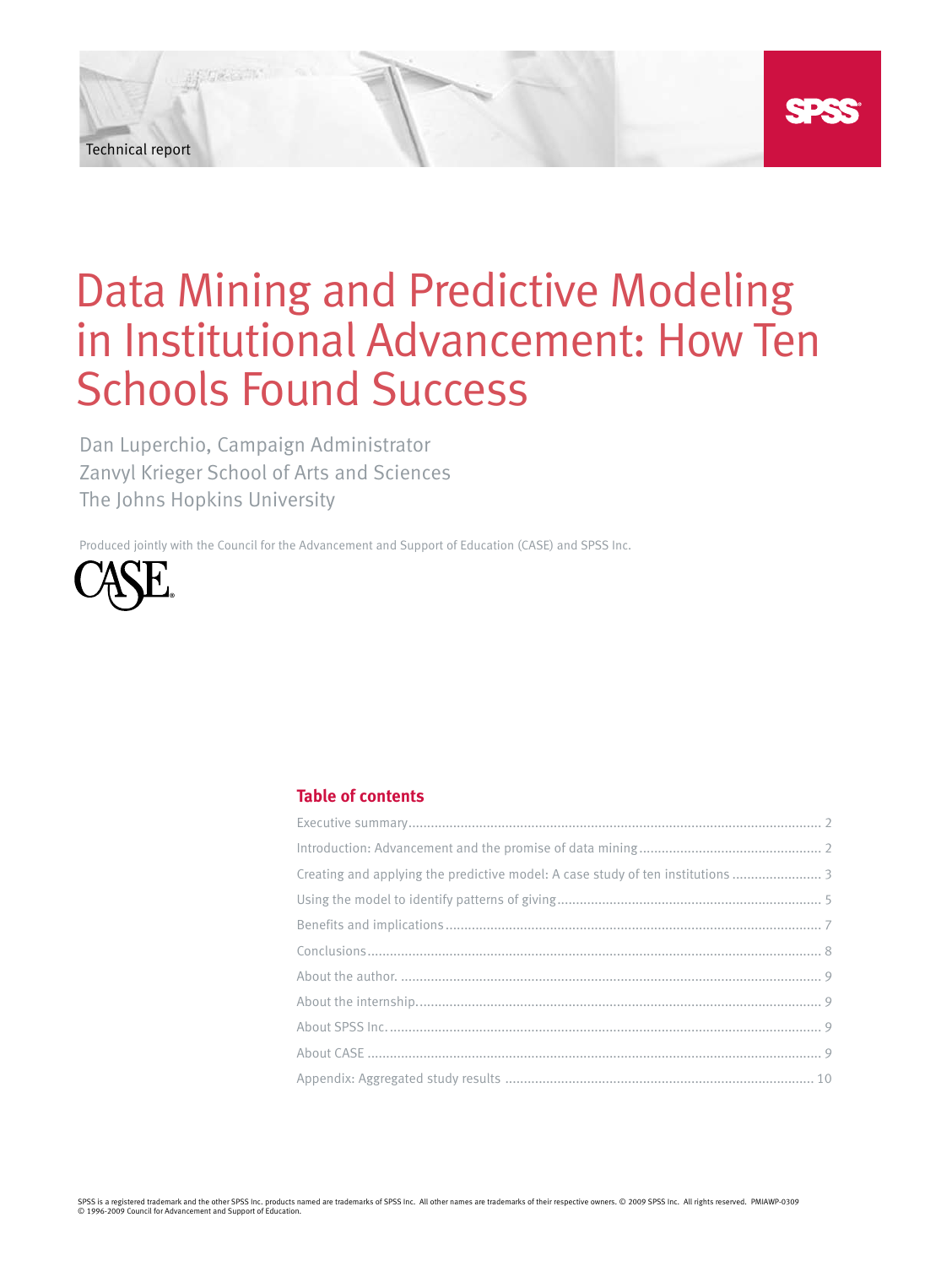Technical report

# Data Mining and Predictive Modeling in Institutional Advancement: How Ten Schools Found Success

Dan Luperchio, Campaign Administrator Zanvyl Krieger School of Arts and Sciences The Johns Hopkins University

Produced jointly with the Council for the Advancement and Support of Education (CASE) and SPSS Inc.



# **Table of contents**

| Creating and applying the predictive model: A case study of ten institutions |
|------------------------------------------------------------------------------|
|                                                                              |
|                                                                              |
|                                                                              |
|                                                                              |
|                                                                              |
|                                                                              |
|                                                                              |
|                                                                              |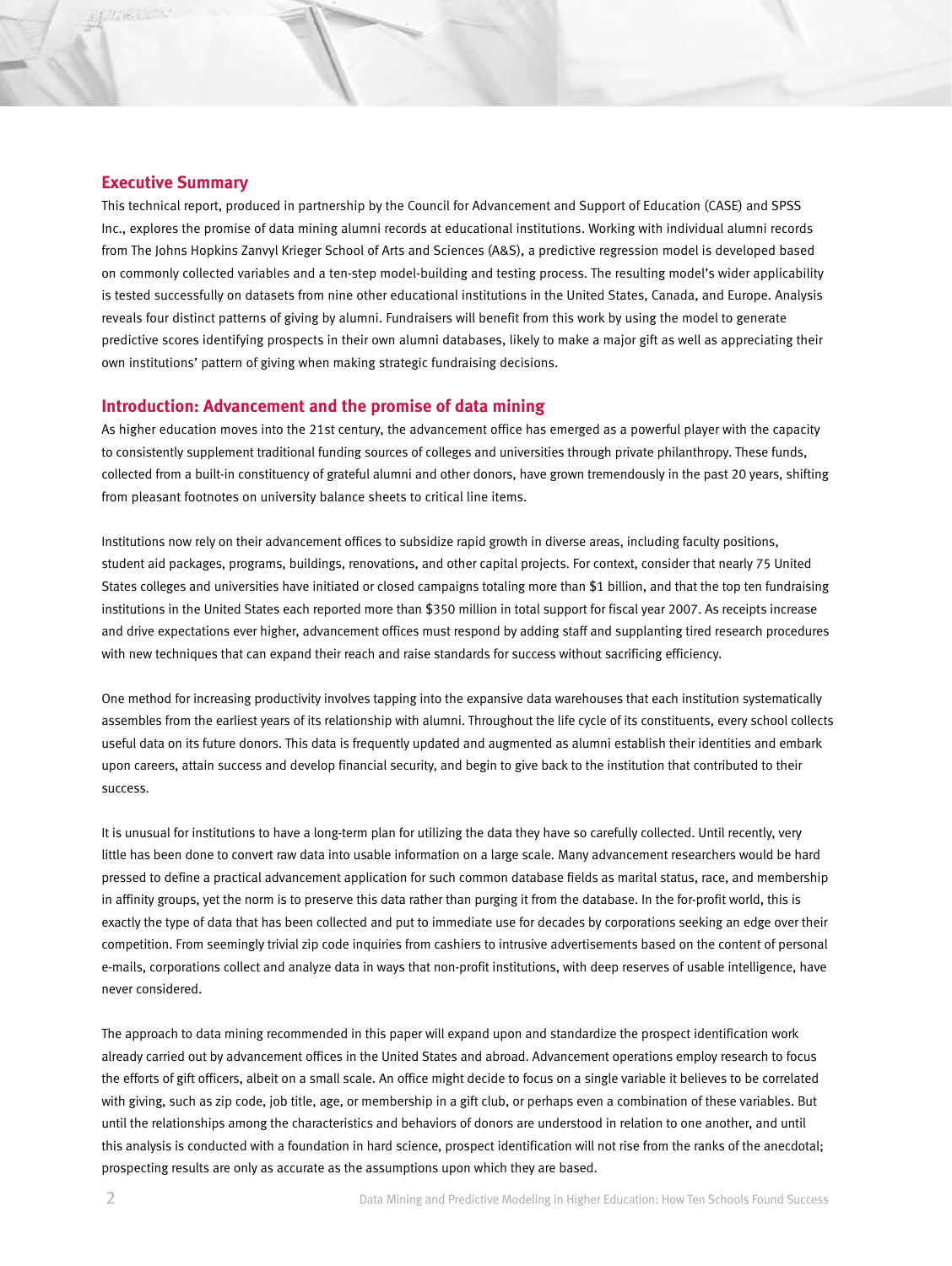## **Executive Summary**

This technical report, produced in partnership by the Council for Advancement and Support of Education (CASE) and SPSS Inc., explores the promise of data mining alumni records at educational institutions. Working with individual alumni records from The Johns Hopkins Zanvyl Krieger School of Arts and Sciences (A&S), a predictive regression model is developed based on commonly collected variables and a ten-step model-building and testing process. The resulting model's wider applicability is tested successfully on datasets from nine other educational institutions in the United States, Canada, and Europe. Analysis reveals four distinct patterns of giving by alumni. Fundraisers will benefit from this work by using the model to generate predictive scores identifying prospects in their own alumni databases, likely to make a major gift as well as appreciating their own institutions' pattern of giving when making strategic fundraising decisions.

### **Introduction: Advancement and the promise of data mining**

As higher education moves into the 21st century, the advancement office has emerged as a powerful player with the capacity to consistently supplement traditional funding sources of colleges and universities through private philanthropy. These funds, collected from a built-in constituency of grateful alumni and other donors, have grown tremendously in the past 20 years, shifting from pleasant footnotes on university balance sheets to critical line items.

Institutions now rely on their advancement offices to subsidize rapid growth in diverse areas, including faculty positions, student aid packages, programs, buildings, renovations, and other capital projects. For context, consider that nearly 75 United States colleges and universities have initiated or closed campaigns totaling more than \$1 billion, and that the top ten fundraising institutions in the United States each reported more than \$350 million in total support for fiscal year 2007. As receipts increase and drive expectations ever higher, advancement offices must respond by adding staff and supplanting tired research procedures with new techniques that can expand their reach and raise standards for success without sacrificing efficiency.

One method for increasing productivity involves tapping into the expansive data warehouses that each institution systematically assembles from the earliest years of its relationship with alumni. Throughout the life cycle of its constituents, every school collects useful data on its future donors. This data is frequently updated and augmented as alumni establish their identities and embark upon careers, attain success and develop financial security, and begin to give back to the institution that contributed to their success.

It is unusual for institutions to have a long-term plan for utilizing the data they have so carefully collected. Until recently, very little has been done to convert raw data into usable information on a large scale. Many advancement researchers would be hard pressed to define a practical advancement application for such common database fields as marital status, race, and membership in affinity groups, yet the norm is to preserve this data rather than purging it from the database. In the for-profit world, this is exactly the type of data that has been collected and put to immediate use for decades by corporations seeking an edge over their competition. From seemingly trivial zip code inquiries from cashiers to intrusive advertisements based on the content of personal e-mails, corporations collect and analyze data in ways that non-profit institutions, with deep reserves of usable intelligence, have never considered.

The approach to data mining recommended in this paper will expand upon and standardize the prospect identification work already carried out by advancement offices in the United States and abroad. Advancement operations employ research to focus the efforts of gift officers, albeit on a small scale. An office might decide to focus on a single variable it believes to be correlated with giving, such as zip code, job title, age, or membership in a gift club, or perhaps even a combination of these variables. But until the relationships among the characteristics and behaviors of donors are understood in relation to one another, and until this analysis is conducted with a foundation in hard science, prospect identification will not rise from the ranks of the anecdotal; prospecting results are only as accurate as the assumptions upon which they are based.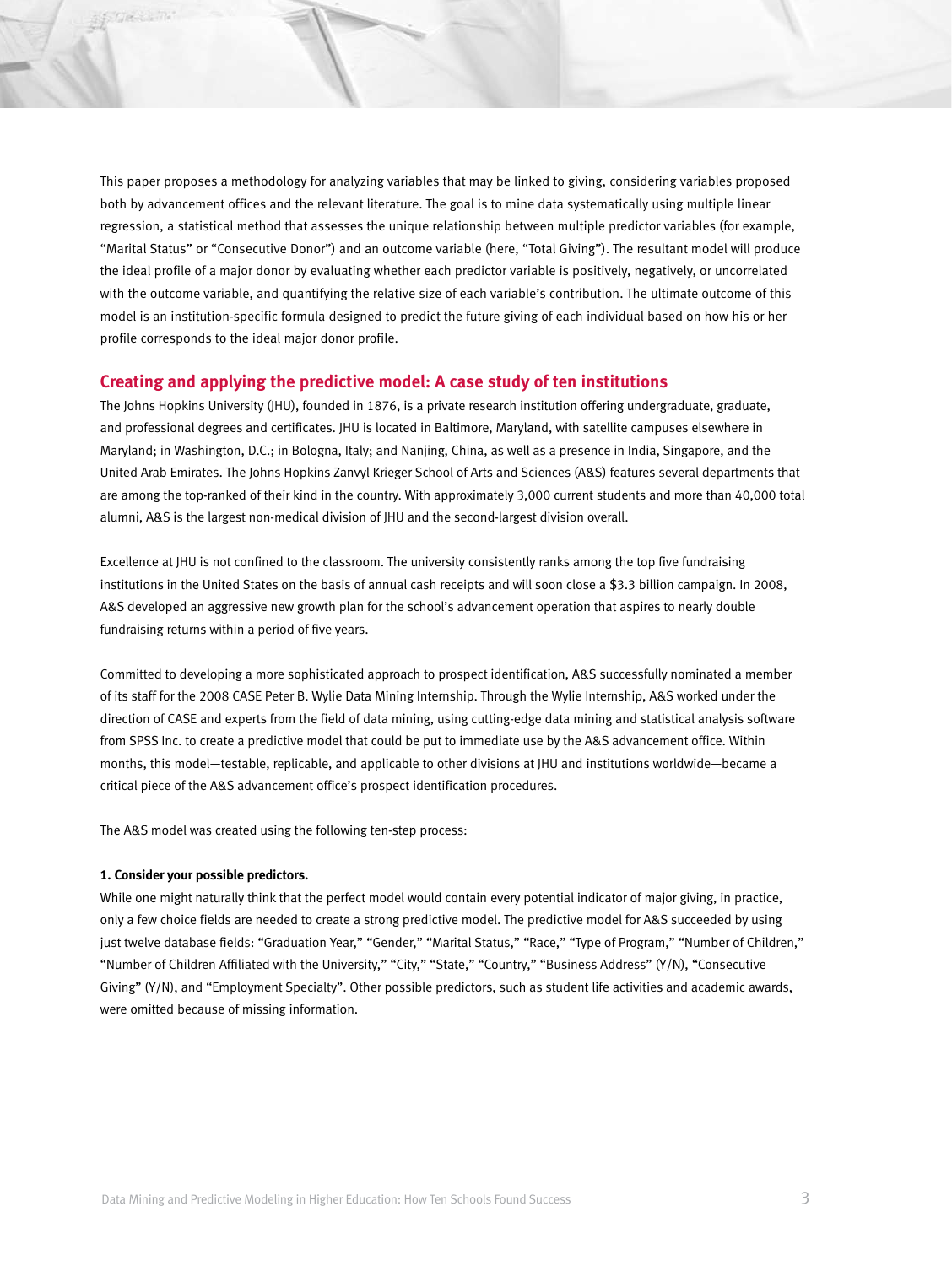This paper proposes a methodology for analyzing variables that may be linked to giving, considering variables proposed both by advancement offices and the relevant literature. The goal is to mine data systematically using multiple linear regression, a statistical method that assesses the unique relationship between multiple predictor variables (for example, "Marital Status" or "Consecutive Donor") and an outcome variable (here, "Total Giving"). The resultant model will produce the ideal profile of a major donor by evaluating whether each predictor variable is positively, negatively, or uncorrelated with the outcome variable, and quantifying the relative size of each variable's contribution. The ultimate outcome of this model is an institution-specific formula designed to predict the future giving of each individual based on how his or her profile corresponds to the ideal major donor profile.

## **Creating and applying the predictive model: A case study of ten institutions**

The Johns Hopkins University (JHU), founded in 1876, is a private research institution offering undergraduate, graduate, and professional degrees and certificates. JHU is located in Baltimore, Maryland, with satellite campuses elsewhere in Maryland; in Washington, D.C.; in Bologna, Italy; and Nanjing, China, as well as a presence in India, Singapore, and the United Arab Emirates. The Johns Hopkins Zanvyl Krieger School of Arts and Sciences (A&S) features several departments that are among the top-ranked of their kind in the country. With approximately 3,000 current students and more than 40,000 total alumni, A&S is the largest non-medical division of JHU and the second-largest division overall.

Excellence at JHU is not confined to the classroom. The university consistently ranks among the top five fundraising institutions in the United States on the basis of annual cash receipts and will soon close a \$3.3 billion campaign. In 2008, A&S developed an aggressive new growth plan for the school's advancement operation that aspires to nearly double fundraising returns within a period of five years.

Committed to developing a more sophisticated approach to prospect identification, A&S successfully nominated a member of its staff for the 2008 CASE Peter B. Wylie Data Mining Internship. Through the Wylie Internship, A&S worked under the direction of CASE and experts from the field of data mining, using cutting-edge data mining and statistical analysis software from SPSS Inc. to create a predictive model that could be put to immediate use by the A&S advancement office. Within months, this model—testable, replicable, and applicable to other divisions at JHU and institutions worldwide—became a critical piece of the A&S advancement office's prospect identification procedures.

The A&S model was created using the following ten-step process:

#### **1. Consider your possible predictors.**

While one might naturally think that the perfect model would contain every potential indicator of major giving, in practice, only a few choice fields are needed to create a strong predictive model. The predictive model for A&S succeeded by using just twelve database fields: "Graduation Year," "Gender," "Marital Status," "Race," "Type of Program," "Number of Children," "Number of Children Affiliated with the University," "City," "State," "Country," "Business Address" (Y/N), "Consecutive Giving" (Y/N), and "Employment Specialty". Other possible predictors, such as student life activities and academic awards, were omitted because of missing information.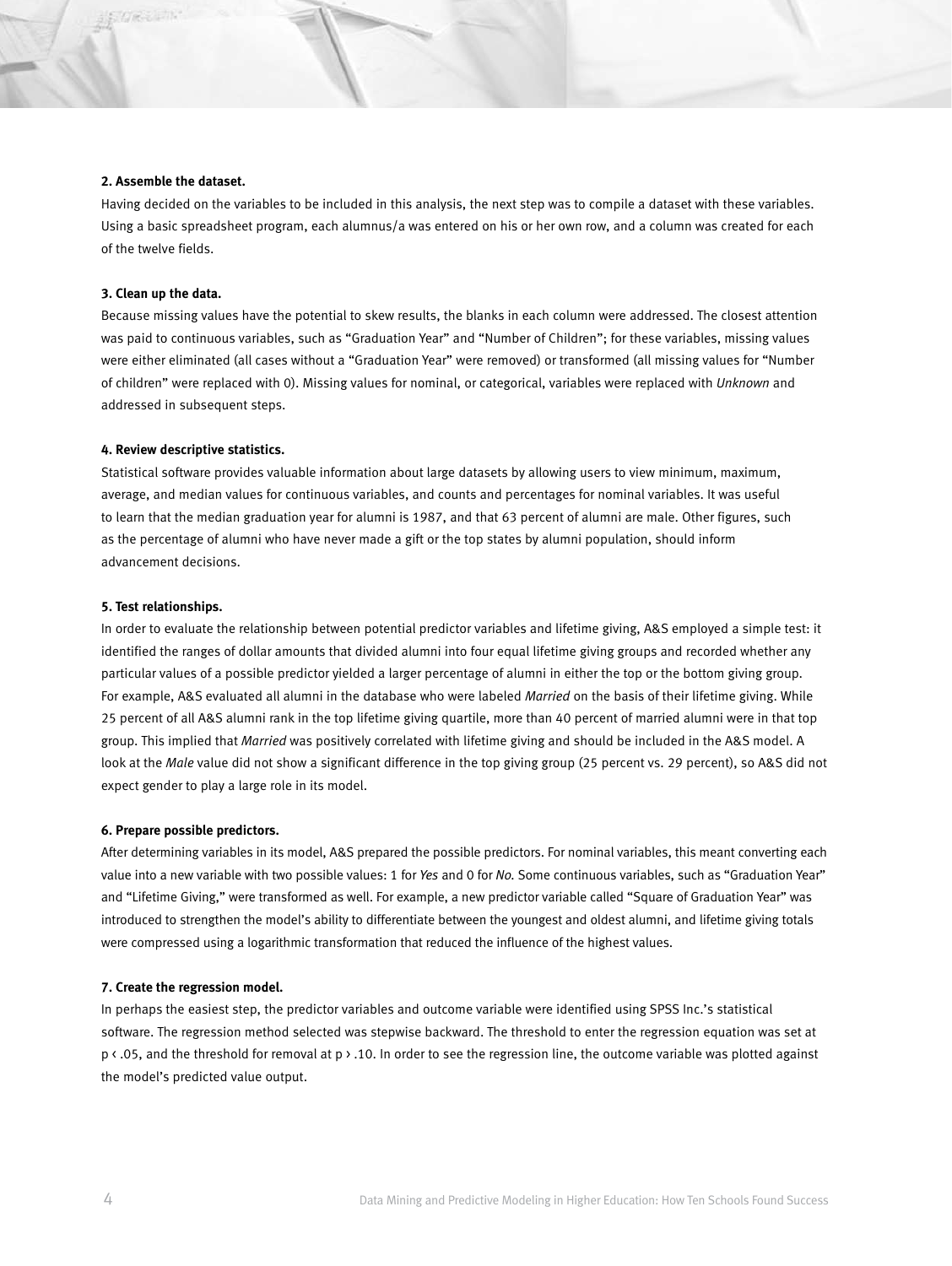#### **2. Assemble the dataset.**

Having decided on the variables to be included in this analysis, the next step was to compile a dataset with these variables. Using a basic spreadsheet program, each alumnus/a was entered on his or her own row, and a column was created for each of the twelve fields.

#### **3. Clean up the data.**

Because missing values have the potential to skew results, the blanks in each column were addressed. The closest attention was paid to continuous variables, such as "Graduation Year" and "Number of Children"; for these variables, missing values were either eliminated (all cases without a "Graduation Year" were removed) or transformed (all missing values for "Number of children" were replaced with 0). Missing values for nominal, or categorical, variables were replaced with *Unknown* and addressed in subsequent steps.

#### **4. Review descriptive statistics.**

Statistical software provides valuable information about large datasets by allowing users to view minimum, maximum, average, and median values for continuous variables, and counts and percentages for nominal variables. It was useful to learn that the median graduation year for alumni is 1987, and that 63 percent of alumni are male. Other figures, such as the percentage of alumni who have never made a gift or the top states by alumni population, should inform advancement decisions.

#### **5. Test relationships.**

In order to evaluate the relationship between potential predictor variables and lifetime giving, A&S employed a simple test: it identified the ranges of dollar amounts that divided alumni into four equal lifetime giving groups and recorded whether any particular values of a possible predictor yielded a larger percentage of alumni in either the top or the bottom giving group. For example, A&S evaluated all alumni in the database who were labeled *Married* on the basis of their lifetime giving. While 25 percent of all A&S alumni rank in the top lifetime giving quartile, more than 40 percent of married alumni were in that top group. This implied that *Married* was positively correlated with lifetime giving and should be included in the A&S model. A look at the *Male* value did not show a significant difference in the top giving group (25 percent vs. 29 percent), so A&S did not expect gender to play a large role in its model.

#### **6. Prepare possible predictors.**

After determining variables in its model, A&S prepared the possible predictors. For nominal variables, this meant converting each value into a new variable with two possible values: 1 for *Yes* and 0 for *No.* Some continuous variables, such as "Graduation Year" and "Lifetime Giving," were transformed as well. For example, a new predictor variable called "Square of Graduation Year" was introduced to strengthen the model's ability to differentiate between the youngest and oldest alumni, and lifetime giving totals were compressed using a logarithmic transformation that reduced the influence of the highest values.

#### **7. Create the regression model.**

In perhaps the easiest step, the predictor variables and outcome variable were identified using SPSS Inc.'s statistical software. The regression method selected was stepwise backward. The threshold to enter the regression equation was set at p < .05, and the threshold for removal at p > .10. In order to see the regression line, the outcome variable was plotted against the model's predicted value output.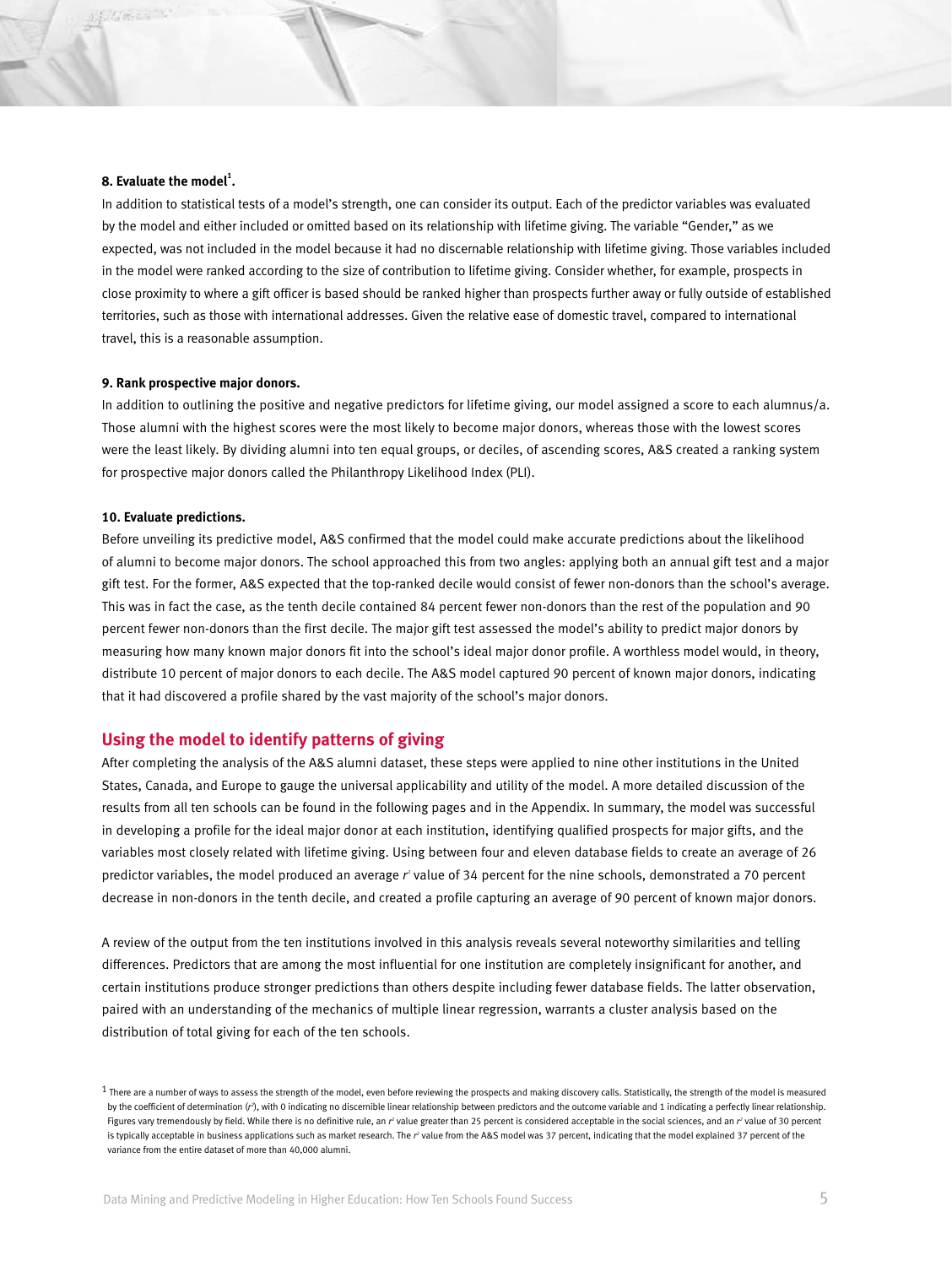#### **8. Evaluate the model<sup>1</sup> .**

In addition to statistical tests of a model's strength, one can consider its output. Each of the predictor variables was evaluated by the model and either included or omitted based on its relationship with lifetime giving. The variable "Gender," as we expected, was not included in the model because it had no discernable relationship with lifetime giving. Those variables included in the model were ranked according to the size of contribution to lifetime giving. Consider whether, for example, prospects in close proximity to where a gift officer is based should be ranked higher than prospects further away or fully outside of established territories, such as those with international addresses. Given the relative ease of domestic travel, compared to international travel, this is a reasonable assumption.

#### **9. Rank prospective major donors.**

In addition to outlining the positive and negative predictors for lifetime giving, our model assigned a score to each alumnus/a. Those alumni with the highest scores were the most likely to become major donors, whereas those with the lowest scores were the least likely. By dividing alumni into ten equal groups, or deciles, of ascending scores, A&S created a ranking system for prospective major donors called the Philanthropy Likelihood Index (PLI).

#### **10. Evaluate predictions.**

Before unveiling its predictive model, A&S confirmed that the model could make accurate predictions about the likelihood of alumni to become major donors. The school approached this from two angles: applying both an annual gift test and a major gift test. For the former, A&S expected that the top-ranked decile would consist of fewer non-donors than the school's average. This was in fact the case, as the tenth decile contained 84 percent fewer non-donors than the rest of the population and 90 percent fewer non-donors than the first decile. The major gift test assessed the model's ability to predict major donors by measuring how many known major donors fit into the school's ideal major donor profile. A worthless model would, in theory, distribute 10 percent of major donors to each decile. The A&S model captured 90 percent of known major donors, indicating that it had discovered a profile shared by the vast majority of the school's major donors.

## **Using the model to identify patterns of giving**

After completing the analysis of the A&S alumni dataset, these steps were applied to nine other institutions in the United States, Canada, and Europe to gauge the universal applicability and utility of the model. A more detailed discussion of the results from all ten schools can be found in the following pages and in the Appendix. In summary, the model was successful in developing a profile for the ideal major donor at each institution, identifying qualified prospects for major gifts, and the variables most closely related with lifetime giving. Using between four and eleven database fields to create an average of 26 predictor variables, the model produced an average r' value of 34 percent for the nine schools, demonstrated a 70 percent decrease in non-donors in the tenth decile, and created a profile capturing an average of 90 percent of known major donors.

A review of the output from the ten institutions involved in this analysis reveals several noteworthy similarities and telling differences. Predictors that are among the most influential for one institution are completely insignificant for another, and certain institutions produce stronger predictions than others despite including fewer database fields. The latter observation, paired with an understanding of the mechanics of multiple linear regression, warrants a cluster analysis based on the distribution of total giving for each of the ten schools.

 $1$  There are a number of ways to assess the strength of the model, even before reviewing the prospects and making discovery calls. Statistically, the strength of the model is measured by the coefficient of determination (r<sup>2</sup>), with 0 indicating no discernible linear relationship between predictors and the outcome variable and 1 indicating a perfectly linear relationship. Figures vary tremendously by field. While there is no definitive rule, an r<sup>2</sup> value greater than 25 percent is considered acceptable in the social sciences, and an r<sup>2</sup> value of 30 percent is typically acceptable in business applications such as market research. The r<sup>2</sup> value from the A&S model was 37 percent, indicating that the model explained 37 percent of the variance from the entire dataset of more than 40,000 alumni.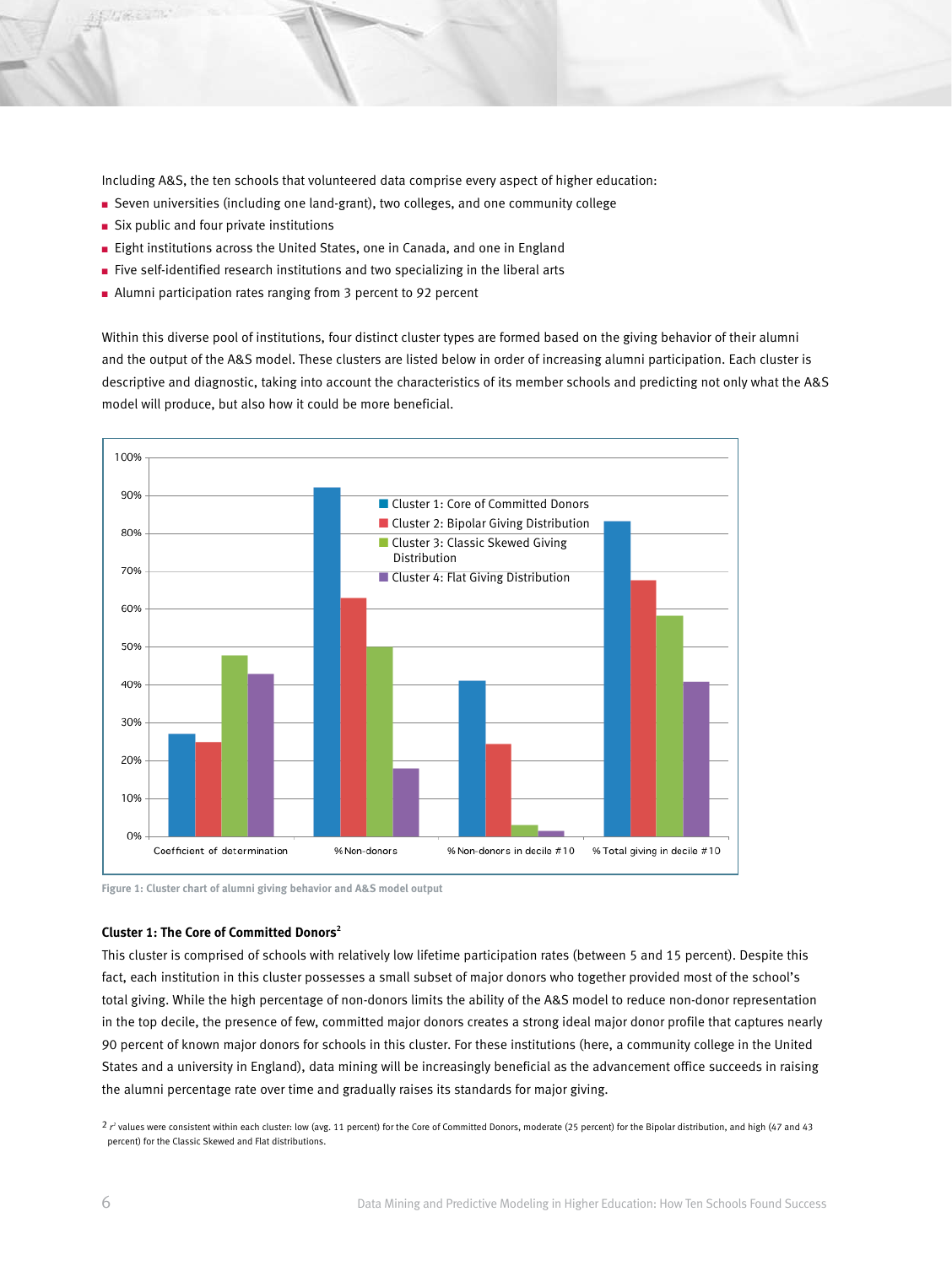Including A&S, the ten schools that volunteered data comprise every aspect of higher education:

- Seven universities (including one land-grant), two colleges, and one community college
- $\blacksquare$  Six public and four private institutions
- Eight institutions across the United States, one in Canada, and one in England
- $\blacksquare$  Five self-identified research institutions and two specializing in the liberal arts
- Alumni participation rates ranging from 3 percent to 92 percent

Within this diverse pool of institutions, four distinct cluster types are formed based on the giving behavior of their alumni and the output of the A&S model. These clusters are listed below in order of increasing alumni participation. Each cluster is descriptive and diagnostic, taking into account the characteristics of its member schools and predicting not only what the A&S model will produce, but also how it could be more beneficial.



**Figure 1: Cluster chart of alumni giving behavior and A&S model output**

#### **Cluster 1: The Core of Committed Donors2**

This cluster is comprised of schools with relatively low lifetime participation rates (between 5 and 15 percent). Despite this fact, each institution in this cluster possesses a small subset of major donors who together provided most of the school's total giving. While the high percentage of non-donors limits the ability of the A&S model to reduce non-donor representation in the top decile, the presence of few, committed major donors creates a strong ideal major donor profile that captures nearly 90 percent of known major donors for schools in this cluster. For these institutions (here, a community college in the United States and a university in England), data mining will be increasingly beneficial as the advancement office succeeds in raising the alumni percentage rate over time and gradually raises its standards for major giving.

 $2r^2$  values were consistent within each cluster: low (avg. 11 percent) for the Core of Committed Donors, moderate (25 percent) for the Bipolar distribution, and high (47 and 43 percent) for the Classic Skewed and Flat distributions.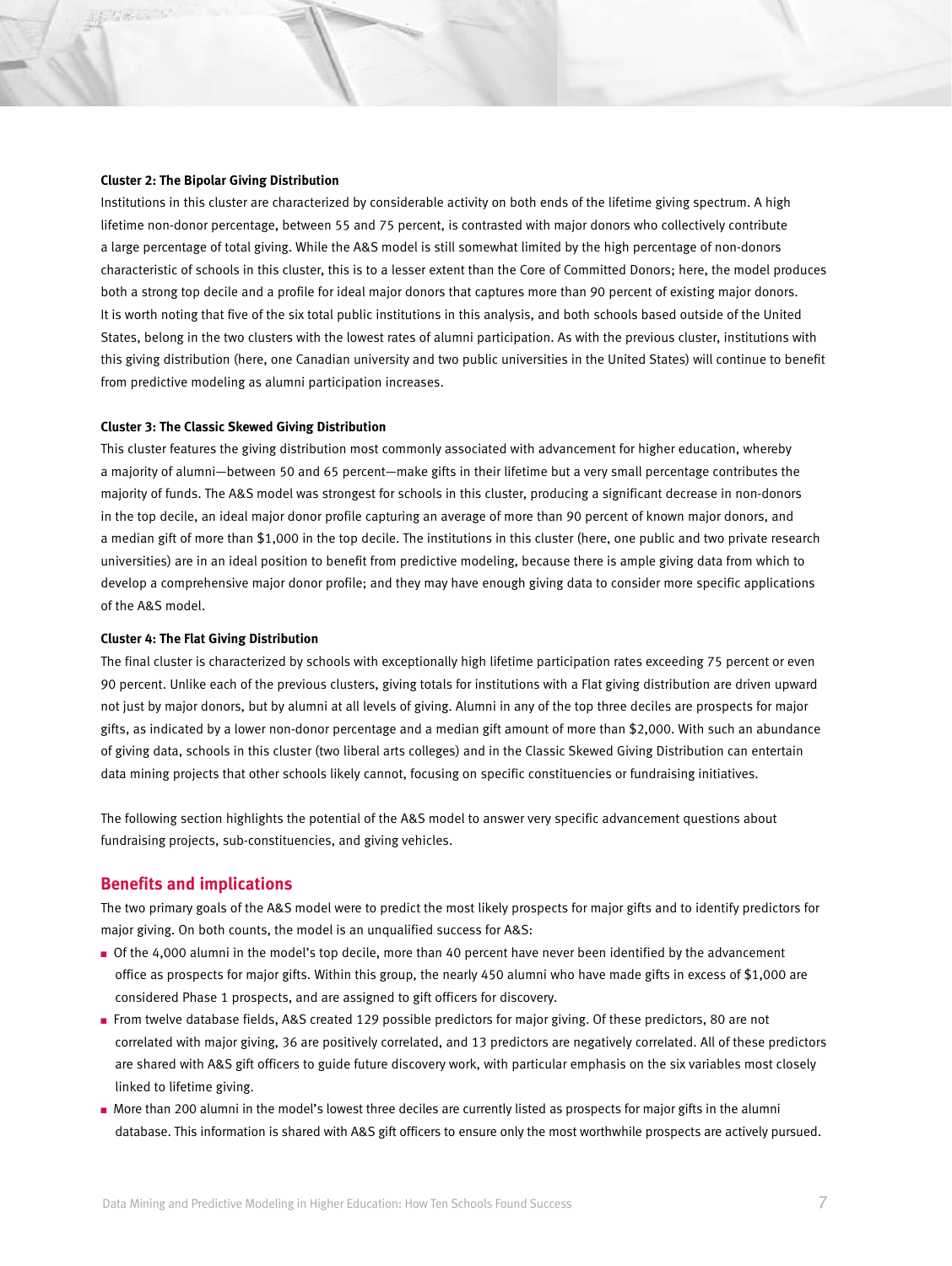#### **Cluster 2: The Bipolar Giving Distribution**

Institutions in this cluster are characterized by considerable activity on both ends of the lifetime giving spectrum. A high lifetime non-donor percentage, between 55 and 75 percent, is contrasted with major donors who collectively contribute a large percentage of total giving. While the A&S model is still somewhat limited by the high percentage of non-donors characteristic of schools in this cluster, this is to a lesser extent than the Core of Committed Donors; here, the model produces both a strong top decile and a profile for ideal major donors that captures more than 90 percent of existing major donors. It is worth noting that five of the six total public institutions in this analysis, and both schools based outside of the United States, belong in the two clusters with the lowest rates of alumni participation. As with the previous cluster, institutions with this giving distribution (here, one Canadian university and two public universities in the United States) will continue to benefit from predictive modeling as alumni participation increases.

#### **Cluster 3: The Classic Skewed Giving Distribution**

This cluster features the giving distribution most commonly associated with advancement for higher education, whereby a majority of alumni—between 50 and 65 percent—make gifts in their lifetime but a very small percentage contributes the majority of funds. The A&S model was strongest for schools in this cluster, producing a significant decrease in non-donors in the top decile, an ideal major donor profile capturing an average of more than 90 percent of known major donors, and a median gift of more than \$1,000 in the top decile. The institutions in this cluster (here, one public and two private research universities) are in an ideal position to benefit from predictive modeling, because there is ample giving data from which to develop a comprehensive major donor profile; and they may have enough giving data to consider more specific applications of the A&S model.

#### **Cluster 4: The Flat Giving Distribution**

The final cluster is characterized by schools with exceptionally high lifetime participation rates exceeding 75 percent or even 90 percent. Unlike each of the previous clusters, giving totals for institutions with a Flat giving distribution are driven upward not just by major donors, but by alumni at all levels of giving. Alumni in any of the top three deciles are prospects for major gifts, as indicated by a lower non-donor percentage and a median gift amount of more than \$2,000. With such an abundance of giving data, schools in this cluster (two liberal arts colleges) and in the Classic Skewed Giving Distribution can entertain data mining projects that other schools likely cannot, focusing on specific constituencies or fundraising initiatives.

The following section highlights the potential of the A&S model to answer very specific advancement questions about fundraising projects, sub-constituencies, and giving vehicles.

## **Benefits and implications**

The two primary goals of the A&S model were to predict the most likely prospects for major gifts and to identify predictors for major giving. On both counts, the model is an unqualified success for A&S:

- <sup>n</sup> Of the 4,000 alumni in the model's top decile, more than 40 percent have never been identified by the advancement office as prospects for major gifts. Within this group, the nearly 450 alumni who have made gifts in excess of \$1,000 are considered Phase 1 prospects, and are assigned to gift officers for discovery.
- <sup>n</sup> From twelve database fields, A&S created 129 possible predictors for major giving. Of these predictors, 80 are not correlated with major giving, 36 are positively correlated, and 13 predictors are negatively correlated. All of these predictors are shared with A&S gift officers to guide future discovery work, with particular emphasis on the six variables most closely linked to lifetime giving.
- <sup>n</sup> More than 200 alumni in the model's lowest three deciles are currently listed as prospects for major gifts in the alumni database. This information is shared with A&S gift officers to ensure only the most worthwhile prospects are actively pursued.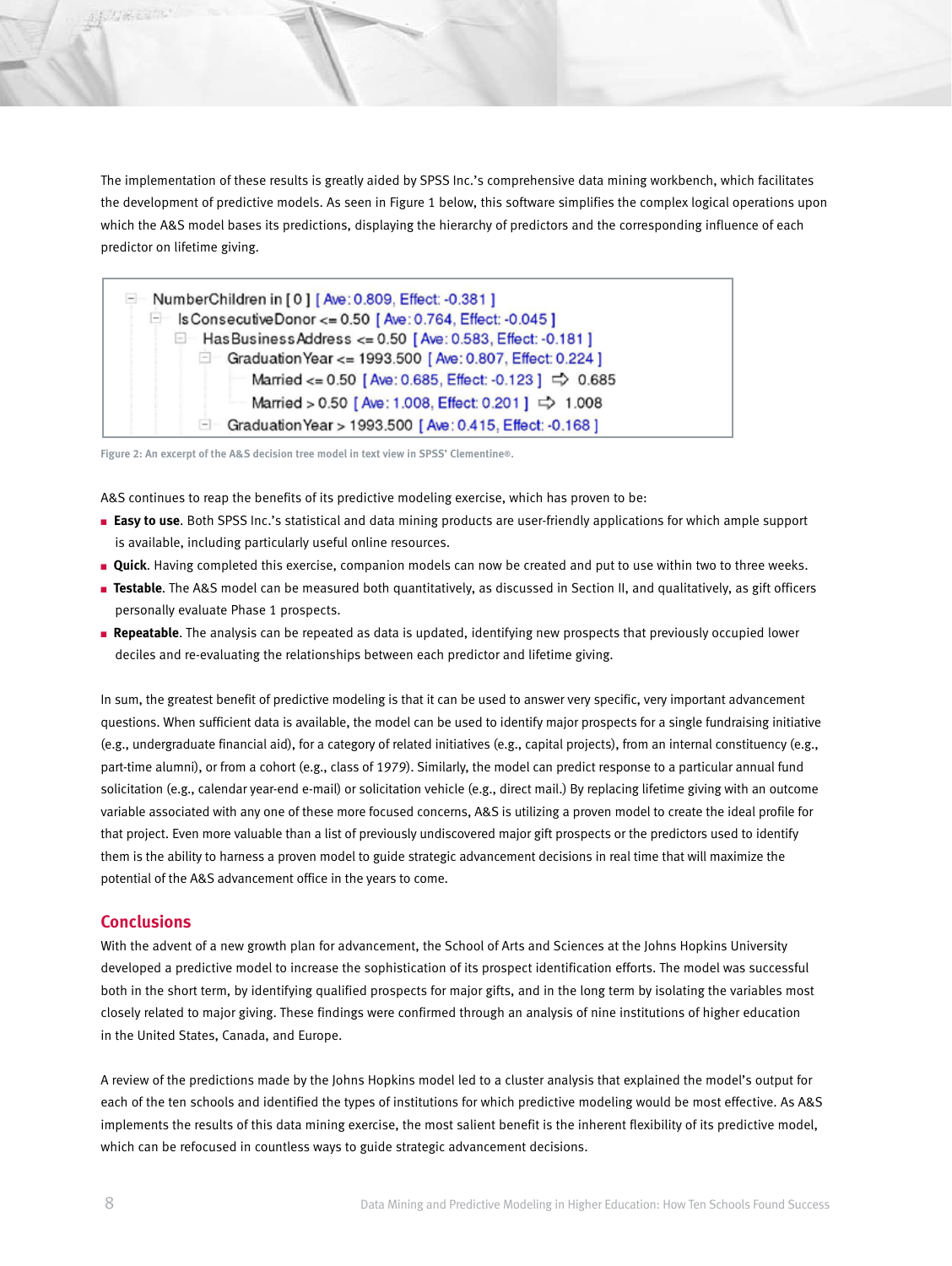The implementation of these results is greatly aided by SPSS Inc.'s comprehensive data mining workbench, which facilitates the development of predictive models. As seen in Figure 1 below, this software simplifies the complex logical operations upon which the A&S model bases its predictions, displaying the hierarchy of predictors and the corresponding influence of each predictor on lifetime giving.

| NumberChildren in [0] [Ave: 0.809, Effect: -0.381]               |
|------------------------------------------------------------------|
| E Is Consecutive Donor <= 0.50 [Ave: 0.764, Effect: -0.045]      |
| □ Has Business Address <= 0.50 [Ave: 0.583, Effect: -0.181]      |
| Graduation Year <= 1993.500 [Ave: 0.807, Effect: 0.224]          |
| Married <= 0.50 [Ave: 0.685, Effect: -0.123] $\Rightarrow$ 0.685 |
| Married > 0.50 [Ave: 1.008, Effect: 0.201 ] = 1.008              |
| Graduation Year > 1993.500 [Ave: 0.415, Effect: -0.168]          |

**Figure 2: An excerpt of the A&S decision tree model in text view in SPSS' Clementine®.**

A&S continues to reap the benefits of its predictive modeling exercise, which has proven to be:

- <sup>n</sup>**Easy to use**. Both SPSS Inc.'s statistical and data mining products are user-friendly applications for which ample support is available, including particularly useful online resources.
- <sup>n</sup> **Quick**. Having completed this exercise, companion models can now be created and put to use within two to three weeks.
- <sup>n</sup> **Testable**. The A&S model can be measured both quantitatively, as discussed in Section II, and qualitatively, as gift officers personally evaluate Phase 1 prospects.
- <sup>n</sup> **Repeatable**. The analysis can be repeated as data is updated, identifying new prospects that previously occupied lower deciles and re-evaluating the relationships between each predictor and lifetime giving.

In sum, the greatest benefit of predictive modeling is that it can be used to answer very specific, very important advancement questions. When sufficient data is available, the model can be used to identify major prospects for a single fundraising initiative (e.g., undergraduate financial aid), for a category of related initiatives (e.g., capital projects), from an internal constituency (e.g., part-time alumni), or from a cohort (e.g., class of 1979). Similarly, the model can predict response to a particular annual fund solicitation (e.g., calendar year-end e-mail) or solicitation vehicle (e.g., direct mail.) By replacing lifetime giving with an outcome variable associated with any one of these more focused concerns, A&S is utilizing a proven model to create the ideal profile for that project. Even more valuable than a list of previously undiscovered major gift prospects or the predictors used to identify them is the ability to harness a proven model to guide strategic advancement decisions in real time that will maximize the potential of the A&S advancement office in the years to come.

## **Conclusions**

With the advent of a new growth plan for advancement, the School of Arts and Sciences at the Johns Hopkins University developed a predictive model to increase the sophistication of its prospect identification efforts. The model was successful both in the short term, by identifying qualified prospects for major gifts, and in the long term by isolating the variables most closely related to major giving. These findings were confirmed through an analysis of nine institutions of higher education in the United States, Canada, and Europe.

A review of the predictions made by the Johns Hopkins model led to a cluster analysis that explained the model's output for each of the ten schools and identified the types of institutions for which predictive modeling would be most effective. As A&S implements the results of this data mining exercise, the most salient benefit is the inherent flexibility of its predictive model, which can be refocused in countless ways to guide strategic advancement decisions.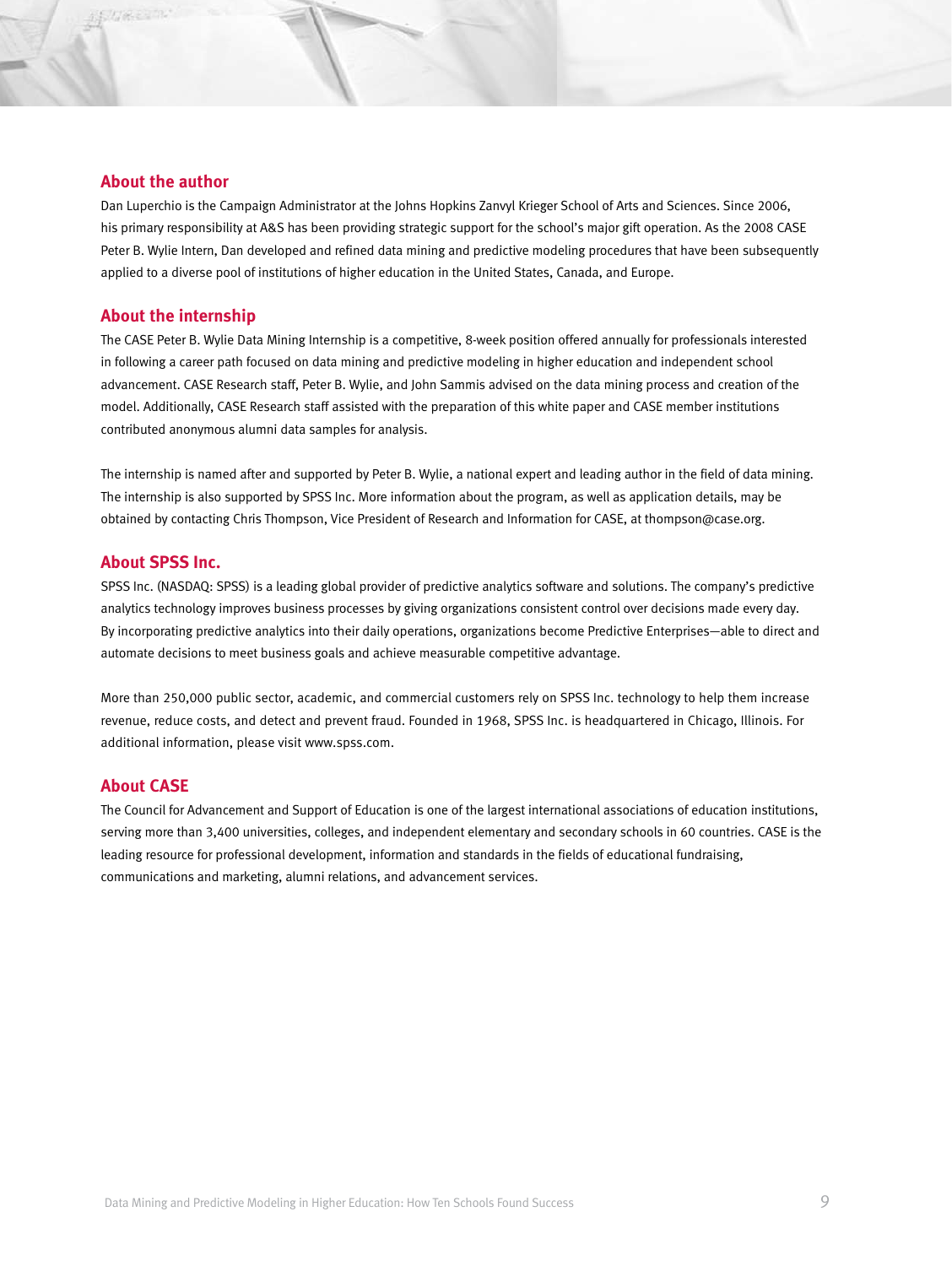## **About the author**

Dan Luperchio is the Campaign Administrator at the Johns Hopkins Zanvyl Krieger School of Arts and Sciences. Since 2006, his primary responsibility at A&S has been providing strategic support for the school's major gift operation. As the 2008 CASE Peter B. Wylie Intern, Dan developed and refined data mining and predictive modeling procedures that have been subsequently applied to a diverse pool of institutions of higher education in the United States, Canada, and Europe.

## **About the internship**

The CASE Peter B. Wylie Data Mining Internship is a competitive, 8-week position offered annually for professionals interested in following a career path focused on data mining and predictive modeling in higher education and independent school advancement. CASE Research staff, Peter B. Wylie, and John Sammis advised on the data mining process and creation of the model. Additionally, CASE Research staff assisted with the preparation of this white paper and CASE member institutions contributed anonymous alumni data samples for analysis.

The internship is named after and supported by Peter B. Wylie, a national expert and leading author in the field of data mining. The internship is also supported by SPSS Inc. More information about the program, as well as application details, may be obtained by contacting Chris Thompson, Vice President of Research and Information for CASE, at thompson@case.org.

## **About SPSS Inc.**

SPSS Inc. (NASDAQ: SPSS) is a leading global provider of predictive analytics software and solutions. The company's predictive analytics technology improves business processes by giving organizations consistent control over decisions made every day. By incorporating predictive analytics into their daily operations, organizations become Predictive Enterprises—able to direct and automate decisions to meet business goals and achieve measurable competitive advantage.

More than 250,000 public sector, academic, and commercial customers rely on SPSS Inc. technology to help them increase revenue, reduce costs, and detect and prevent fraud. Founded in 1968, SPSS Inc. is headquartered in Chicago, Illinois. For additional information, please visit www.spss.com.

## **About CASE**

The Council for Advancement and Support of Education is one of the largest international associations of education institutions, serving more than 3,400 universities, colleges, and independent elementary and secondary schools in 60 countries. CASE is the leading resource for professional development, information and standards in the fields of educational fundraising, communications and marketing, alumni relations, and advancement services.